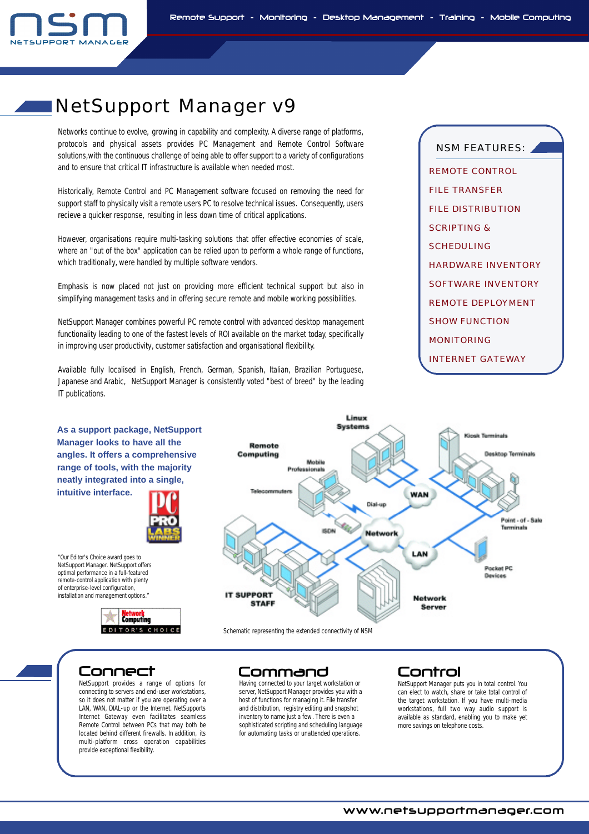

# NetSupport Manager v9

Networks continue to evolve, growing in capability and complexity. A diverse range of platforms, protocols and physical assets provides PC Management and Remote Control Software solutions,with the continuous challenge of being able to offer support to a variety of configurations and to ensure that critical IT infrastructure is available when needed most.

Historically, Remote Control and PC Management software focused on removing the need for support staff to physically visit a remote users PC to resolve technical issues. Consequently, users recieve a quicker response, resulting in less down time of critical applications.

However, organisations require multi-tasking solutions that offer effective economies of scale, where an "out of the box" application can be relied upon to perform a whole range of functions, which traditionally, were handled by multiple software vendors.

Emphasis is now placed not just on providing more efficient technical support but also in simplifying management tasks and in offering secure remote and mobile working possibilities.

NetSupport Manager combines powerful PC remote control with advanced desktop management functionality leading to one of the fastest levels of ROI available on the market today, specifically in improving user productivity, customer satisfaction and organisational flexibility.

Available fully localised in English, French, German, Spanish, Italian, Brazilian Portuguese, Japanese and Arabic, NetSupport Manager is consistently voted "best of breed" by the leading IT publications.

NSM FEATURES: REMOTE CONTROL FILE TRANSFER FILE DISTRIBUTION SCRIPTING & **SCHEDULING** HARDWARE INVENTORY SOFTWARE INVENTORY REMOTE DEPLOYMENT SHOW FUNCTION **MONITORING** INTERNET GATEWAY



Schematic representing the extended connectivity of NSM

**As a support package, NetSupport Manager looks to have all the angles. It offers a comprehensive range of tools, with the majority neatly integrated into a single,**

**intuitive interface.**

*"Our Editor's Choice award goes to NetSupport Manager. NetSupport offers optimal performance in a full-featured remote-control application with plenty of enterprise-level configuration, installation and management options."*

> NetSupport provides a range of options for connecting to servers and end-user workstations, so it does not matter if you are operating over a LAN, WAN, DIAL-up or the Internet. NetSupports Internet Gateway even facilitates seamless Remote Control between PCs that may both be located behind different firewalls. In addition, its multi-platform cross operation capabilities provide exceptional flexibility.

etwor<mark>k</mark><br>omputing æ FOITOR'S CHOICE

## Connect Command Control

Having connected to your target workstation or server, NetSupport Manager provides you with a host of functions for managing it. File transfer and distribution, registry editing and snapshot inventory to name just a few. There is even a sophisticated scripting and scheduling language for automating tasks or unattended operations.

NetSupport Manager puts you in total control. You can elect to watch, share or take total control of the target workstation. If you have multi-media work stations, full two way audio support is available as standard, enabling you to make yet more savings on telephone costs.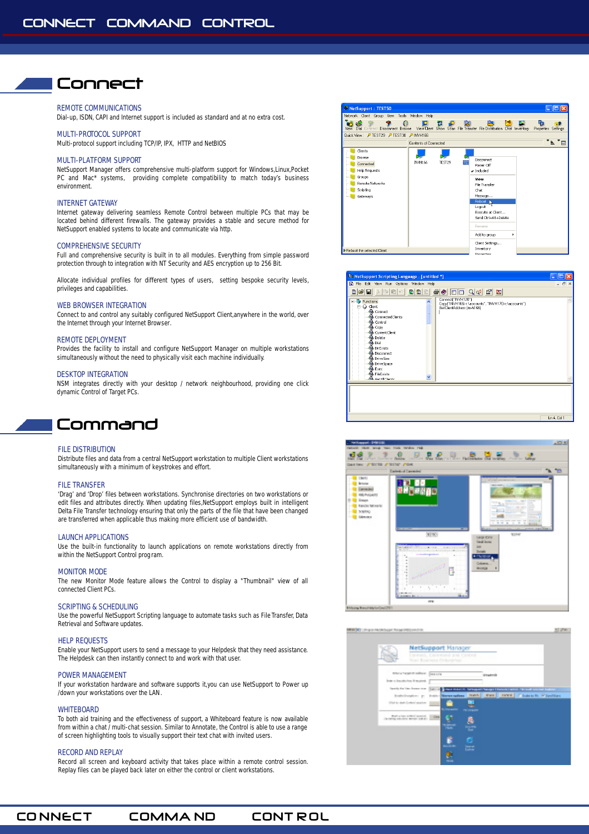## Connect

### REMOTE COMMUNICATIONS

Dial-up, ISDN, CAPI and Internet support is included as standard and at no extra cost.

### MULTI-PROTOCOL SUPPORT

Multi-protocol support including TCP/IP, IPX, HTTP and NetBIOS

#### MULTI-PLATFORM SUPPORT

NetSupport Manager offers comprehensive multi-platform support for Windows,Linux,Pocket PC and Mac\* systems, providing complete compatibility to match today's business environment.

#### INTERNET GATEWAY

Internet gateway delivering seamless Remote Control between multiple PCs that may be located behind different firewalls. The gateway provides a stable and secure method for NetSupport enabled systems to locate and communicate via http.

#### COMPREHENSIVE SECURITY

Full and comprehensive security is built in to all modules. Everything from simple password protection through to integration with NT Security and AES encryption up to 256 Bit.

Allocate individual profiles for different types of users, setting bespoke security levels, privileges and capabilities.

#### WEB BROWSER INTEGRATION

Connect to and control any suitably configured NetSupport Client,anywhere in the world, over the Internet through your Internet Browser.

#### REMOTE DEPLOYMENT

Provides the facility to install and configure NetSupport Manager on multiple workstations simultaneously without the need to physically visit each machine individually.

#### DESKTOP INTEGRATION

NSM integrates directly with your desktop / network neighbourhood, providing one click dynamic Control of Target PCs.



#### FILE DISTRIBUTION

Distribute files and data from a central NetSupport workstation to multiple Client workstations simultaneously with a minimum of keystrokes and effort.

#### FILE TRANSFER

'Drag' and 'Drop' files between workstations. Synchronise directories on two workstations or edit files and attributes directly. When updating files,NetSupport employs built in intelligent Delta File Transfer technology ensuring that only the parts of the file that have been changed are transferred when applicable thus making more efficient use of bandwidth.

### LAUNCH APPLICATIONS

Use the built-in functionality to launch applications on remote workstations directly from within the NetSupport Control prog ram.

#### MONITOR MODE

The new Monitor Mode feature allows the Control to display a "Thumbnail" view of all connected Client PCs.

#### SCRIPTING & SCHEDULING

Use the powerful NetSupport Scripting language to automate tasks such as File Transfer, Data Retrieval and Software updates.

#### HELP REQUESTS

Enable your NetSupport users to send a message to your Helpdesk that they need assistance. The Helpdesk can then instantly connect to and work with that user.

#### POWER MANAGEMENT

If your workstation hardware and software supports it,you can use NetSupport to Power up /down your workstations over the LAN.

#### **WHITEBOARD**

To both aid training and the effectiveness of support, a Whiteboard feature is now available from within a chat / multi-chat session. Similar to Annotate, the Control is able to use a range of screen highlighting tools to visually support their text chat with invited users.

#### RECORD AND REPLAY

Record all screen and keyboard activity that takes place within a remote control session. Replay files can be played back later on either the control or client workstations.









CONNECT COMMAND CONTROL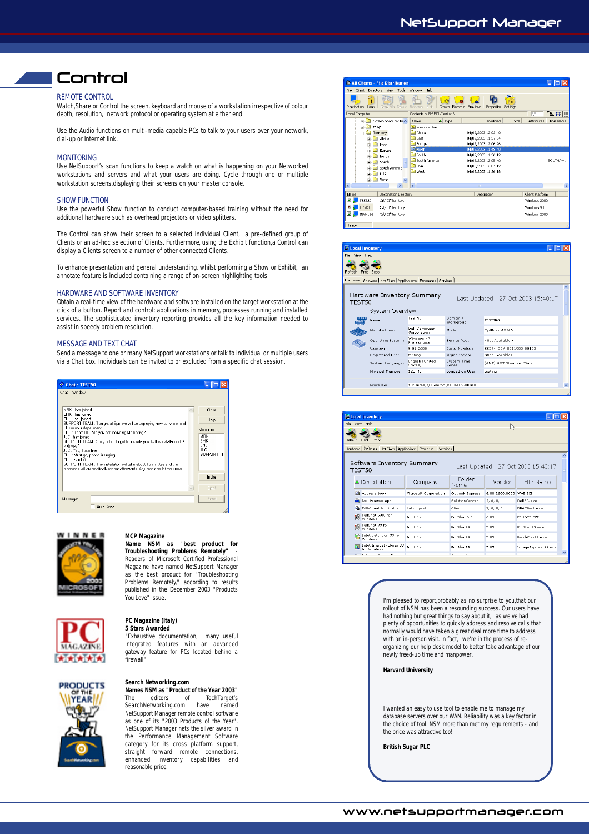### NetSupport Manager

# Control

### REMOTE CONTROL

Watch,Share or Control the screen, keyboard and mouse of a workstation irrespective of colour depth, resolution, network protocol or operating system at either end.

Use the Audio functions on multi-media capable PCs to talk to your users over your network, dial-up or Internet link.

#### MONITORING

Use NetSupport's scan functions to keep a watch on what is happening on your Networked workstations and servers and what your users are doing. Cycle through one or multiple workstation screens,displaying their screens on your master console.

#### SHOW FUNCTION

Use the powerful Show function to conduct computer-based training without the need for additional hardware such as overhead projectors or video splitters.

The Control can show their screen to a selected individual Client, a pre-defined group of Clients or an ad-hoc selection of Clients. Furthermore, using the Exhibit function,a Control can display a Clients screen to a number of other connected Clients.

To enhance presentation and general understanding, whilst performing a Show or Exhibit, an annotate feature is included containing a range of on-screen highlighting tools.

#### HARDWARE AND SOFTWARE INVENTORY

Obtain a real-time view of the hardware and software installed on the target workstation at the click of a button. Report and control; applications in memory, processes running and installed services. The sophisticated inventory reporting provides all the key information needed to assist in speedy problem resolution.

#### MESSAGE AND TEXT CHAT

Send a message to one or many NetSupport workstations or talk to individual or multiple users via a Chat box. Individuals can be invited to or excluded from a specific chat session.





### **MCP Magazine**

**Name NSM as "best product for Troubleshooting Problems Remotely"** - Readers of Microsoft Certified Professional Magazine have named NetSupport Manager as the best product for "Troubleshooting<br>Problems Remotely," according to results published in the December 2003 "Products You Love" issue.



#### **PC Magazine (Italy) 5 Stars Awarded**

"Exhaustive documentation, many useful integrated features with an advanced gateway feature for PCs located behind a firewall"



**Search Networking.com Names NSM as "Product of the Year 2003"** Tech Target's

SearchNetworking.com have named NetSupport Manager remote control softwar e as one of its "2003 Products of the Year". NetSupport Manager nets the silver award in the Performance Management Software category for its cross platform support, straight forward remote connections enhanced inventory capabilities and reasonable price.



| Local Inventory                                                                                                                                                                                                                                                                                                        |                   |                                     |                        |                          |  |  |  |  |  |  |  |  |
|------------------------------------------------------------------------------------------------------------------------------------------------------------------------------------------------------------------------------------------------------------------------------------------------------------------------|-------------------|-------------------------------------|------------------------|--------------------------|--|--|--|--|--|--|--|--|
| File.<br>View Help                                                                                                                                                                                                                                                                                                     |                   |                                     |                        |                          |  |  |  |  |  |  |  |  |
| Refresh Print<br>Export                                                                                                                                                                                                                                                                                                |                   |                                     |                        |                          |  |  |  |  |  |  |  |  |
| Hardware Software   Hot Fixes   Applications   Processes   Services                                                                                                                                                                                                                                                    |                   |                                     |                        |                          |  |  |  |  |  |  |  |  |
| Hardware Inventory Summary<br>Last Updated: 27 Oct 2003 15:40:17<br>TEST50<br>System Overview                                                                                                                                                                                                                          |                   |                                     |                        |                          |  |  |  |  |  |  |  |  |
| <br>am and the second second second second rate of $\overline{a}$ and $\overline{b}$ and $\overline{b}$ and $\overline{b}$ and $\overline{b}$ and $\overline{b}$ and $\overline{b}$ and $\overline{b}$ and $\overline{b}$ and $\overline{b}$ and $\overline{b}$ and $\overline{b}$ and $\overline{b}$ and $\overline{$ | Name:             | <b>TEST50</b>                       | Domain /<br>Workgroup: | <b>TESTING</b>           |  |  |  |  |  |  |  |  |
|                                                                                                                                                                                                                                                                                                                        | Manufacturer:     | Dell Computer<br>Corporation        | Model:                 | OptiPlex GX260           |  |  |  |  |  |  |  |  |
|                                                                                                                                                                                                                                                                                                                        | Operating System: | Windows XP<br><b>Professional</b>   | Service Pack:          | <not available=""></not> |  |  |  |  |  |  |  |  |
|                                                                                                                                                                                                                                                                                                                        | <b>Version:</b>   | 5.01.2600                           | Serial Number:         | 55274-OFM-0011903-00102  |  |  |  |  |  |  |  |  |
|                                                                                                                                                                                                                                                                                                                        | Registered User:  | testing                             | Organisation:          | <not available=""></not> |  |  |  |  |  |  |  |  |
|                                                                                                                                                                                                                                                                                                                        | System Language:  | English (United<br>States)          | System Time<br>Zones   | (GMT) GMT Standard Time  |  |  |  |  |  |  |  |  |
|                                                                                                                                                                                                                                                                                                                        | Physical Memory:  | 128 Mh                              | Logged on User:        | testina                  |  |  |  |  |  |  |  |  |
|                                                                                                                                                                                                                                                                                                                        | Processor:        | 1 x Intel(R) Celeron(R) CPU 2.00GHz |                        |                          |  |  |  |  |  |  |  |  |
|                                                                                                                                                                                                                                                                                                                        |                   |                                     |                        |                          |  |  |  |  |  |  |  |  |

|                                                                            | Local Inventory |                                          |                       |                       |                        |                     |  |  |  |  |  |  |
|----------------------------------------------------------------------------|-----------------|------------------------------------------|-----------------------|-----------------------|------------------------|---------------------|--|--|--|--|--|--|
| View Help<br>File                                                          |                 |                                          |                       | ド                     |                        |                     |  |  |  |  |  |  |
| Refresh<br>Print<br>Export                                                 |                 |                                          |                       |                       |                        |                     |  |  |  |  |  |  |
| Hardware Software Hot Fixes Applications Processes Services                |                 |                                          |                       |                       |                        |                     |  |  |  |  |  |  |
| Software Inventory Summary<br>Last Updated: 27 Oct 2003 15:40:17<br>TEST50 |                 |                                          |                       |                       |                        |                     |  |  |  |  |  |  |
|                                                                            |                 | △ Description                            | Company               | Folder<br><b>Name</b> | Version                | File Name           |  |  |  |  |  |  |
|                                                                            |                 | <b>Bill Address Book</b>                 | Microsoft Corporation | Outlook Express       | 6.00.2600.0000 WAB.EXE |                     |  |  |  |  |  |  |
|                                                                            |                 | <b>Dett</b> Dell Browser App             |                       | SolutionCenter        | 2.0.0.1                | DellSC, exe         |  |  |  |  |  |  |
|                                                                            |                 | <b>G</b> DNAClient Application           | Netsupport            | Client                | 1, 0, 0, 1             | DNAClient.exe       |  |  |  |  |  |  |
|                                                                            | 僞               | FullShot 6.03 for<br>Windows             | Inhit Inc.            | FullShot 6.0          | 6.03                   | <b>ESHOT6, EXE</b>  |  |  |  |  |  |  |
|                                                                            |                 | FullShot 99 for<br>Windows               | Inhit Inc.            | FullShot99            | 5.05                   | EuliShot99.eve      |  |  |  |  |  |  |
|                                                                            |                 | The Indit BatchCon 99 for<br>No Windows  | Inhit Inc.            | FullShot99            | 5.05                   | BatchCon99.eve      |  |  |  |  |  |  |
|                                                                            |                 | Inbit ImageExplorer 99<br>for Windows    | Inbit Inc.            | FullShot99            | 5.05                   | ImageExplorer99.exe |  |  |  |  |  |  |
|                                                                            |                 | <b><i>Contract Contract Contract</i></b> |                       | <b>All Address</b>    |                        |                     |  |  |  |  |  |  |

I'm pleased to report,probably as no surprise to you,that our rollout of NSM has been a resounding success. Our users have had nothing but great things to say about it, as we've had plenty of opportunities to quickly address and resolve calls that normally would have taken a g reat deal more time to address with an in-person visit. In fact, we're in the process of reorganizing our help desk model to better take advantage of our newly freed-up time and manpower.

#### **Harvard University**

I wanted an easy to use tool to enable me to manage my database servers over our WAN. Reliability was a key factor in the choice of tool. NSM more than met my requirements - and the price was attractive too!

**British Sugar PLC**